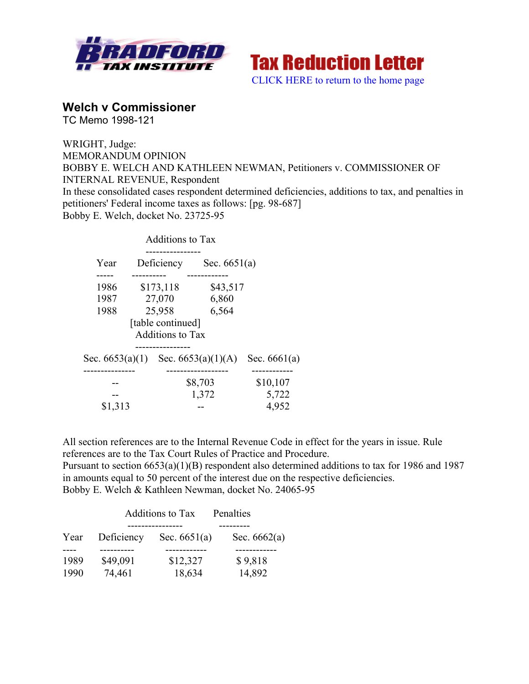



# **Welch v Commissioner**

TC Memo 1998-121

WRIGHT, Judge: MEMORANDUM OPINION BOBBY E. WELCH AND KATHLEEN NEWMAN, Petitioners v. COMMISSIONER OF INTERNAL REVENUE, Respondent In these consolidated cases respondent determined deficiencies, additions to tax, and penalties in petitioners' Federal income taxes as follows: [pg. 98-687] Bobby E. Welch, docket No. 23725-95

|                                    |            | <b>Additions to Tax</b> |                |                |
|------------------------------------|------------|-------------------------|----------------|----------------|
| Year                               | Deficiency |                         | Sec. $6651(a)$ |                |
|                                    |            |                         |                |                |
| 1986                               | \$173,118  |                         | \$43,517       |                |
| 1987                               | 27,070     |                         | 6,860          |                |
| 1988                               |            | 25,958                  | 6,564          |                |
|                                    |            | [table continued]       |                |                |
|                                    |            | <b>Additions to Tax</b> |                |                |
| Sec. 6653(a)(1) Sec. 6653(a)(1)(A) |            |                         |                | Sec. $6661(a)$ |
|                                    |            | \$8,703                 |                | \$10,107       |
|                                    |            |                         | 1,372          | 5,722          |
| \$1,313                            |            |                         |                | 4,952          |

All section references are to the Internal Revenue Code in effect for the years in issue. Rule references are to the Tax Court Rules of Practice and Procedure.

Pursuant to section 6653(a)(1)(B) respondent also determined additions to tax for 1986 and 1987 in amounts equal to 50 percent of the interest due on the respective deficiencies. Bobby E. Welch & Kathleen Newman, docket No. 24065-95

|      |            | <b>Additions to Tax</b> | Penalties      |
|------|------------|-------------------------|----------------|
| Year | Deficiency | Sec. $6651(a)$          | Sec. $6662(a)$ |
|      |            |                         |                |
| 1989 | \$49,091   | \$12,327                | \$9,818        |
| 1990 | 74,461     | 18,634                  | 14,892         |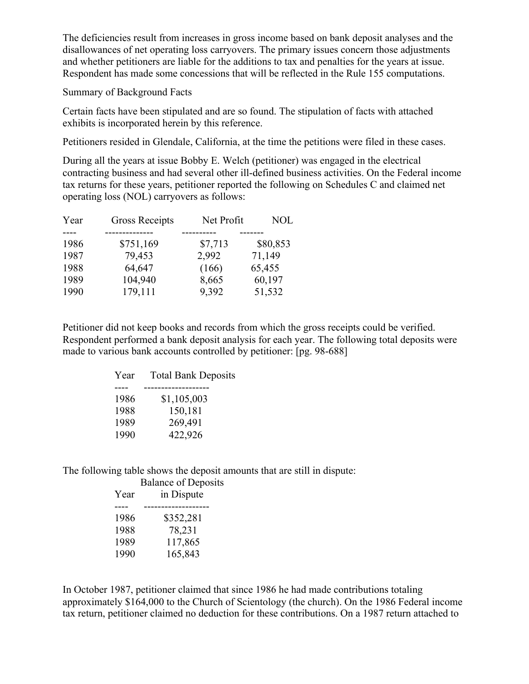The deficiencies result from increases in gross income based on bank deposit analyses and the disallowances of net operating loss carryovers. The primary issues concern those adjustments and whether petitioners are liable for the additions to tax and penalties for the years at issue. Respondent has made some concessions that will be reflected in the Rule 155 computations.

## Summary of Background Facts

Certain facts have been stipulated and are so found. The stipulation of facts with attached exhibits is incorporated herein by this reference.

Petitioners resided in Glendale, California, at the time the petitions were filed in these cases.

During all the years at issue Bobby E. Welch (petitioner) was engaged in the electrical contracting business and had several other ill-defined business activities. On the Federal income tax returns for these years, petitioner reported the following on Schedules C and claimed net operating loss (NOL) carryovers as follows:

| Year | <b>Gross Receipts</b> | Net Profit | <b>NOL</b> |
|------|-----------------------|------------|------------|
|      |                       |            |            |
| 1986 | \$751,169             | \$7,713    | \$80,853   |
| 1987 | 79,453                | 2,992      | 71,149     |
| 1988 | 64,647                | (166)      | 65,455     |
| 1989 | 104,940               | 8,665      | 60,197     |
| 1990 | 179,111               | 9,392      | 51,532     |

Petitioner did not keep books and records from which the gross receipts could be verified. Respondent performed a bank deposit analysis for each year. The following total deposits were made to various bank accounts controlled by petitioner: [pg. 98-688]

| Year | <b>Total Bank Deposits</b> |
|------|----------------------------|
|      |                            |
| 1986 | \$1,105,003                |
| 1988 | 150,181                    |
| 1989 | 269,491                    |
| 1990 | 422,926                    |
|      |                            |

The following table shows the deposit amounts that are still in dispute:

|      | <b>Balance of Deposits</b> |
|------|----------------------------|
| Year | in Dispute                 |
|      |                            |
| 1986 | \$352,281                  |
| 1988 | 78,231                     |
| 1989 | 117,865                    |
| 1990 | 165,843                    |
|      |                            |

In October 1987, petitioner claimed that since 1986 he had made contributions totaling approximately \$164,000 to the Church of Scientology (the church). On the 1986 Federal income tax return, petitioner claimed no deduction for these contributions. On a 1987 return attached to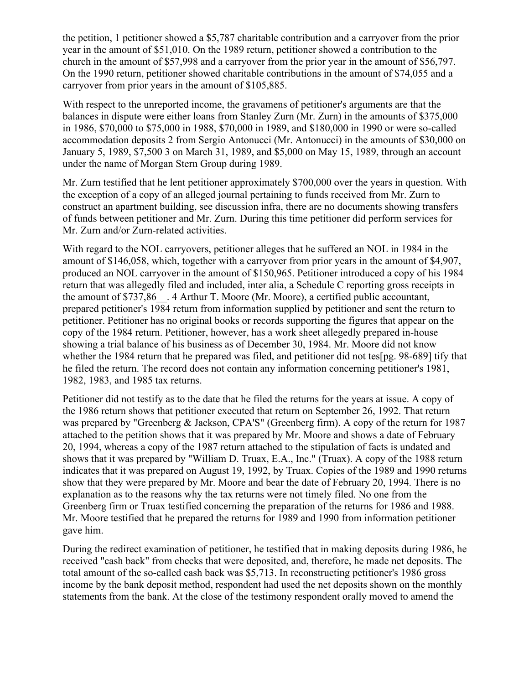the petition, 1 petitioner showed a \$5,787 charitable contribution and a carryover from the prior year in the amount of \$51,010. On the 1989 return, petitioner showed a contribution to the church in the amount of \$57,998 and a carryover from the prior year in the amount of \$56,797. On the 1990 return, petitioner showed charitable contributions in the amount of \$74,055 and a carryover from prior years in the amount of \$105,885.

With respect to the unreported income, the gravamens of petitioner's arguments are that the balances in dispute were either loans from Stanley Zurn (Mr. Zurn) in the amounts of \$375,000 in 1986, \$70,000 to \$75,000 in 1988, \$70,000 in 1989, and \$180,000 in 1990 or were so-called accommodation deposits 2 from Sergio Antonucci (Mr. Antonucci) in the amounts of \$30,000 on January 5, 1989, \$7,500 3 on March 31, 1989, and \$5,000 on May 15, 1989, through an account under the name of Morgan Stern Group during 1989.

Mr. Zurn testified that he lent petitioner approximately \$700,000 over the years in question. With the exception of a copy of an alleged journal pertaining to funds received from Mr. Zurn to construct an apartment building, see discussion infra, there are no documents showing transfers of funds between petitioner and Mr. Zurn. During this time petitioner did perform services for Mr. Zurn and/or Zurn-related activities.

With regard to the NOL carryovers, petitioner alleges that he suffered an NOL in 1984 in the amount of \$146,058, which, together with a carryover from prior years in the amount of \$4,907, produced an NOL carryover in the amount of \$150,965. Petitioner introduced a copy of his 1984 return that was allegedly filed and included, inter alia, a Schedule C reporting gross receipts in the amount of \$737,86\_\_. 4 Arthur T. Moore (Mr. Moore), a certified public accountant, prepared petitioner's 1984 return from information supplied by petitioner and sent the return to petitioner. Petitioner has no original books or records supporting the figures that appear on the copy of the 1984 return. Petitioner, however, has a work sheet allegedly prepared in-house showing a trial balance of his business as of December 30, 1984. Mr. Moore did not know whether the 1984 return that he prepared was filed, and petitioner did not tes[pg. 98-689] tify that he filed the return. The record does not contain any information concerning petitioner's 1981, 1982, 1983, and 1985 tax returns.

Petitioner did not testify as to the date that he filed the returns for the years at issue. A copy of the 1986 return shows that petitioner executed that return on September 26, 1992. That return was prepared by "Greenberg & Jackson, CPA'S" (Greenberg firm). A copy of the return for 1987 attached to the petition shows that it was prepared by Mr. Moore and shows a date of February 20, 1994, whereas a copy of the 1987 return attached to the stipulation of facts is undated and shows that it was prepared by "William D. Truax, E.A., Inc." (Truax). A copy of the 1988 return indicates that it was prepared on August 19, 1992, by Truax. Copies of the 1989 and 1990 returns show that they were prepared by Mr. Moore and bear the date of February 20, 1994. There is no explanation as to the reasons why the tax returns were not timely filed. No one from the Greenberg firm or Truax testified concerning the preparation of the returns for 1986 and 1988. Mr. Moore testified that he prepared the returns for 1989 and 1990 from information petitioner gave him.

During the redirect examination of petitioner, he testified that in making deposits during 1986, he received "cash back" from checks that were deposited, and, therefore, he made net deposits. The total amount of the so-called cash back was \$5,713. In reconstructing petitioner's 1986 gross income by the bank deposit method, respondent had used the net deposits shown on the monthly statements from the bank. At the close of the testimony respondent orally moved to amend the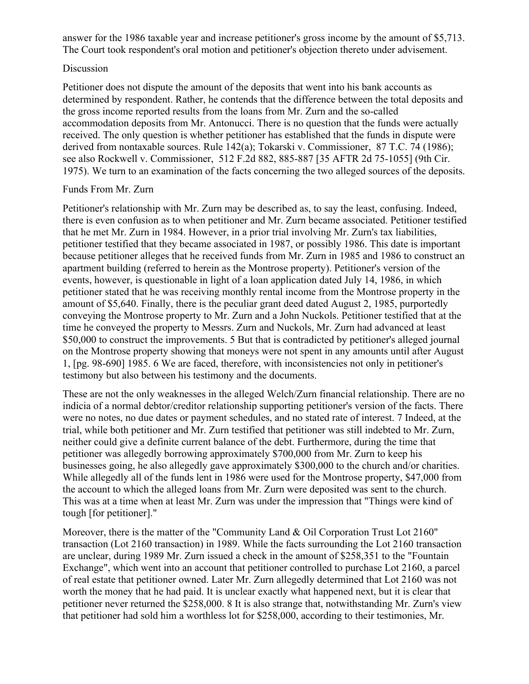answer for the 1986 taxable year and increase petitioner's gross income by the amount of \$5,713. The Court took respondent's oral motion and petitioner's objection thereto under advisement.

## Discussion

Petitioner does not dispute the amount of the deposits that went into his bank accounts as determined by respondent. Rather, he contends that the difference between the total deposits and the gross income reported results from the loans from Mr. Zurn and the so-called accommodation deposits from Mr. Antonucci. There is no question that the funds were actually received. The only question is whether petitioner has established that the funds in dispute were derived from nontaxable sources. Rule 142(a); Tokarski v. Commissioner, 87 T.C. 74 (1986); see also Rockwell v. Commissioner, 512 F.2d 882, 885-887 [35 AFTR 2d 75-1055] (9th Cir. 1975). We turn to an examination of the facts concerning the two alleged sources of the deposits.

## Funds From Mr. Zurn

Petitioner's relationship with Mr. Zurn may be described as, to say the least, confusing. Indeed, there is even confusion as to when petitioner and Mr. Zurn became associated. Petitioner testified that he met Mr. Zurn in 1984. However, in a prior trial involving Mr. Zurn's tax liabilities, petitioner testified that they became associated in 1987, or possibly 1986. This date is important because petitioner alleges that he received funds from Mr. Zurn in 1985 and 1986 to construct an apartment building (referred to herein as the Montrose property). Petitioner's version of the events, however, is questionable in light of a loan application dated July 14, 1986, in which petitioner stated that he was receiving monthly rental income from the Montrose property in the amount of \$5,640. Finally, there is the peculiar grant deed dated August 2, 1985, purportedly conveying the Montrose property to Mr. Zurn and a John Nuckols. Petitioner testified that at the time he conveyed the property to Messrs. Zurn and Nuckols, Mr. Zurn had advanced at least \$50,000 to construct the improvements. 5 But that is contradicted by petitioner's alleged journal on the Montrose property showing that moneys were not spent in any amounts until after August 1, [pg. 98-690] 1985. 6 We are faced, therefore, with inconsistencies not only in petitioner's testimony but also between his testimony and the documents.

These are not the only weaknesses in the alleged Welch/Zurn financial relationship. There are no indicia of a normal debtor/creditor relationship supporting petitioner's version of the facts. There were no notes, no due dates or payment schedules, and no stated rate of interest. 7 Indeed, at the trial, while both petitioner and Mr. Zurn testified that petitioner was still indebted to Mr. Zurn, neither could give a definite current balance of the debt. Furthermore, during the time that petitioner was allegedly borrowing approximately \$700,000 from Mr. Zurn to keep his businesses going, he also allegedly gave approximately \$300,000 to the church and/or charities. While allegedly all of the funds lent in 1986 were used for the Montrose property, \$47,000 from the account to which the alleged loans from Mr. Zurn were deposited was sent to the church. This was at a time when at least Mr. Zurn was under the impression that "Things were kind of tough [for petitioner]."

Moreover, there is the matter of the "Community Land & Oil Corporation Trust Lot 2160" transaction (Lot 2160 transaction) in 1989. While the facts surrounding the Lot 2160 transaction are unclear, during 1989 Mr. Zurn issued a check in the amount of \$258,351 to the "Fountain Exchange", which went into an account that petitioner controlled to purchase Lot 2160, a parcel of real estate that petitioner owned. Later Mr. Zurn allegedly determined that Lot 2160 was not worth the money that he had paid. It is unclear exactly what happened next, but it is clear that petitioner never returned the \$258,000. 8 It is also strange that, notwithstanding Mr. Zurn's view that petitioner had sold him a worthless lot for \$258,000, according to their testimonies, Mr.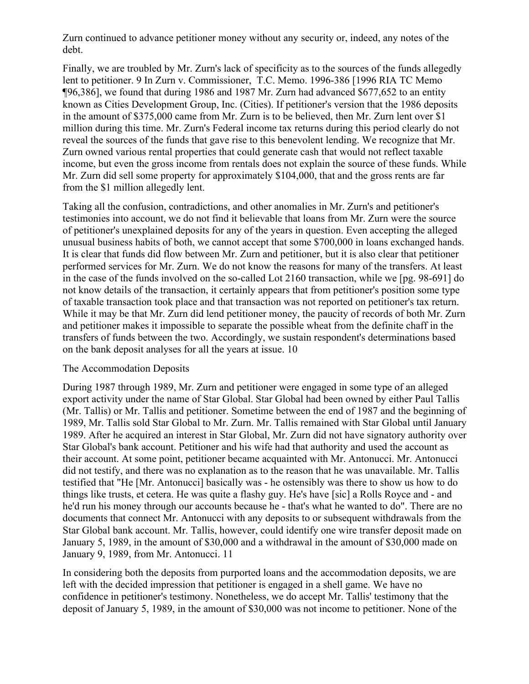Zurn continued to advance petitioner money without any security or, indeed, any notes of the debt.

Finally, we are troubled by Mr. Zurn's lack of specificity as to the sources of the funds allegedly lent to petitioner. 9 In Zurn v. Commissioner, T.C. Memo. 1996-386 [1996 RIA TC Memo ¶96,386], we found that during 1986 and 1987 Mr. Zurn had advanced \$677,652 to an entity known as Cities Development Group, Inc. (Cities). If petitioner's version that the 1986 deposits in the amount of \$375,000 came from Mr. Zurn is to be believed, then Mr. Zurn lent over \$1 million during this time. Mr. Zurn's Federal income tax returns during this period clearly do not reveal the sources of the funds that gave rise to this benevolent lending. We recognize that Mr. Zurn owned various rental properties that could generate cash that would not reflect taxable income, but even the gross income from rentals does not explain the source of these funds. While Mr. Zurn did sell some property for approximately \$104,000, that and the gross rents are far from the \$1 million allegedly lent.

Taking all the confusion, contradictions, and other anomalies in Mr. Zurn's and petitioner's testimonies into account, we do not find it believable that loans from Mr. Zurn were the source of petitioner's unexplained deposits for any of the years in question. Even accepting the alleged unusual business habits of both, we cannot accept that some \$700,000 in loans exchanged hands. It is clear that funds did flow between Mr. Zurn and petitioner, but it is also clear that petitioner performed services for Mr. Zurn. We do not know the reasons for many of the transfers. At least in the case of the funds involved on the so-called Lot 2160 transaction, while we [pg. 98-691] do not know details of the transaction, it certainly appears that from petitioner's position some type of taxable transaction took place and that transaction was not reported on petitioner's tax return. While it may be that Mr. Zurn did lend petitioner money, the paucity of records of both Mr. Zurn and petitioner makes it impossible to separate the possible wheat from the definite chaff in the transfers of funds between the two. Accordingly, we sustain respondent's determinations based on the bank deposit analyses for all the years at issue. 10

## The Accommodation Deposits

During 1987 through 1989, Mr. Zurn and petitioner were engaged in some type of an alleged export activity under the name of Star Global. Star Global had been owned by either Paul Tallis (Mr. Tallis) or Mr. Tallis and petitioner. Sometime between the end of 1987 and the beginning of 1989, Mr. Tallis sold Star Global to Mr. Zurn. Mr. Tallis remained with Star Global until January 1989. After he acquired an interest in Star Global, Mr. Zurn did not have signatory authority over Star Global's bank account. Petitioner and his wife had that authority and used the account as their account. At some point, petitioner became acquainted with Mr. Antonucci. Mr. Antonucci did not testify, and there was no explanation as to the reason that he was unavailable. Mr. Tallis testified that "He [Mr. Antonucci] basically was - he ostensibly was there to show us how to do things like trusts, et cetera. He was quite a flashy guy. He's have [sic] a Rolls Royce and - and he'd run his money through our accounts because he - that's what he wanted to do". There are no documents that connect Mr. Antonucci with any deposits to or subsequent withdrawals from the Star Global bank account. Mr. Tallis, however, could identify one wire transfer deposit made on January 5, 1989, in the amount of \$30,000 and a withdrawal in the amount of \$30,000 made on January 9, 1989, from Mr. Antonucci. 11

In considering both the deposits from purported loans and the accommodation deposits, we are left with the decided impression that petitioner is engaged in a shell game. We have no confidence in petitioner's testimony. Nonetheless, we do accept Mr. Tallis' testimony that the deposit of January 5, 1989, in the amount of \$30,000 was not income to petitioner. None of the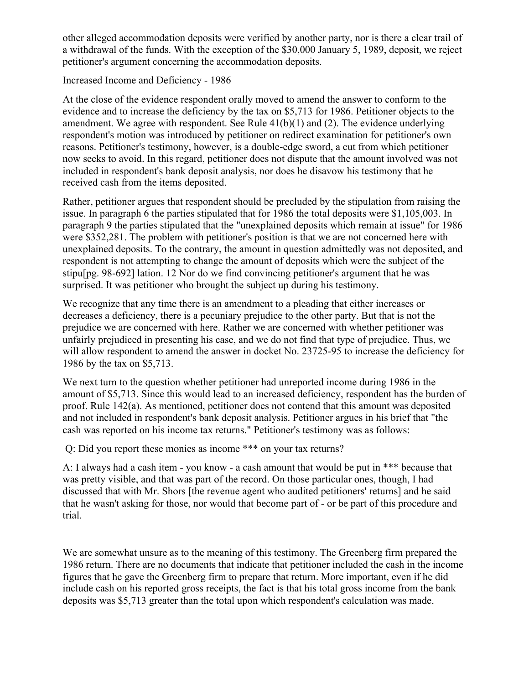other alleged accommodation deposits were verified by another party, nor is there a clear trail of a withdrawal of the funds. With the exception of the \$30,000 January 5, 1989, deposit, we reject petitioner's argument concerning the accommodation deposits.

## Increased Income and Deficiency - 1986

At the close of the evidence respondent orally moved to amend the answer to conform to the evidence and to increase the deficiency by the tax on \$5,713 for 1986. Petitioner objects to the amendment. We agree with respondent. See Rule 41(b)(1) and (2). The evidence underlying respondent's motion was introduced by petitioner on redirect examination for petitioner's own reasons. Petitioner's testimony, however, is a double-edge sword, a cut from which petitioner now seeks to avoid. In this regard, petitioner does not dispute that the amount involved was not included in respondent's bank deposit analysis, nor does he disavow his testimony that he received cash from the items deposited.

Rather, petitioner argues that respondent should be precluded by the stipulation from raising the issue. In paragraph 6 the parties stipulated that for 1986 the total deposits were \$1,105,003. In paragraph 9 the parties stipulated that the "unexplained deposits which remain at issue" for 1986 were \$352,281. The problem with petitioner's position is that we are not concerned here with unexplained deposits. To the contrary, the amount in question admittedly was not deposited, and respondent is not attempting to change the amount of deposits which were the subject of the stipu[pg. 98-692] lation. 12 Nor do we find convincing petitioner's argument that he was surprised. It was petitioner who brought the subject up during his testimony.

We recognize that any time there is an amendment to a pleading that either increases or decreases a deficiency, there is a pecuniary prejudice to the other party. But that is not the prejudice we are concerned with here. Rather we are concerned with whether petitioner was unfairly prejudiced in presenting his case, and we do not find that type of prejudice. Thus, we will allow respondent to amend the answer in docket No. 23725-95 to increase the deficiency for 1986 by the tax on \$5,713.

We next turn to the question whether petitioner had unreported income during 1986 in the amount of \$5,713. Since this would lead to an increased deficiency, respondent has the burden of proof. Rule 142(a). As mentioned, petitioner does not contend that this amount was deposited and not included in respondent's bank deposit analysis. Petitioner argues in his brief that "the cash was reported on his income tax returns." Petitioner's testimony was as follows:

Q: Did you report these monies as income \*\*\* on your tax returns?

A: I always had a cash item - you know - a cash amount that would be put in \*\*\* because that was pretty visible, and that was part of the record. On those particular ones, though, I had discussed that with Mr. Shors [the revenue agent who audited petitioners' returns] and he said that he wasn't asking for those, nor would that become part of - or be part of this procedure and trial.

We are somewhat unsure as to the meaning of this testimony. The Greenberg firm prepared the 1986 return. There are no documents that indicate that petitioner included the cash in the income figures that he gave the Greenberg firm to prepare that return. More important, even if he did include cash on his reported gross receipts, the fact is that his total gross income from the bank deposits was \$5,713 greater than the total upon which respondent's calculation was made.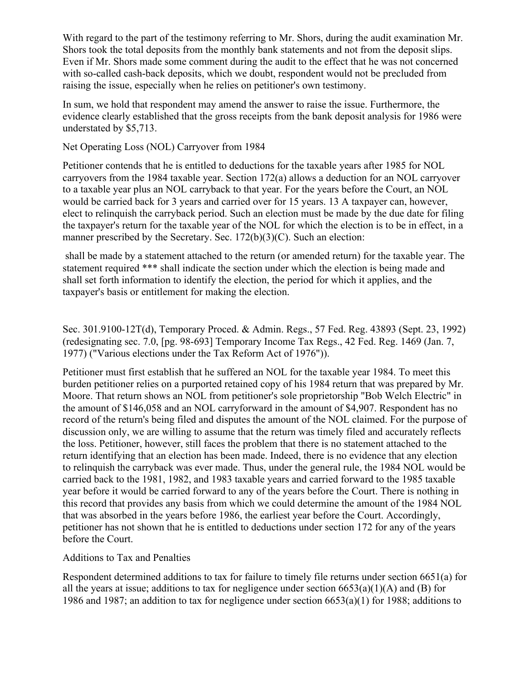With regard to the part of the testimony referring to Mr. Shors, during the audit examination Mr. Shors took the total deposits from the monthly bank statements and not from the deposit slips. Even if Mr. Shors made some comment during the audit to the effect that he was not concerned with so-called cash-back deposits, which we doubt, respondent would not be precluded from raising the issue, especially when he relies on petitioner's own testimony.

In sum, we hold that respondent may amend the answer to raise the issue. Furthermore, the evidence clearly established that the gross receipts from the bank deposit analysis for 1986 were understated by \$5,713.

## Net Operating Loss (NOL) Carryover from 1984

Petitioner contends that he is entitled to deductions for the taxable years after 1985 for NOL carryovers from the 1984 taxable year. Section 172(a) allows a deduction for an NOL carryover to a taxable year plus an NOL carryback to that year. For the years before the Court, an NOL would be carried back for 3 years and carried over for 15 years. 13 A taxpayer can, however, elect to relinquish the carryback period. Such an election must be made by the due date for filing the taxpayer's return for the taxable year of the NOL for which the election is to be in effect, in a manner prescribed by the Secretary. Sec. 172(b)(3)(C). Such an election:

shall be made by a statement attached to the return (or amended return) for the taxable year. The statement required \*\*\* shall indicate the section under which the election is being made and shall set forth information to identify the election, the period for which it applies, and the taxpayer's basis or entitlement for making the election.

Sec. 301.9100-12T(d), Temporary Proced. & Admin. Regs., 57 Fed. Reg. 43893 (Sept. 23, 1992) (redesignating sec. 7.0, [pg. 98-693] Temporary Income Tax Regs., 42 Fed. Reg. 1469 (Jan. 7, 1977) ("Various elections under the Tax Reform Act of 1976")).

Petitioner must first establish that he suffered an NOL for the taxable year 1984. To meet this burden petitioner relies on a purported retained copy of his 1984 return that was prepared by Mr. Moore. That return shows an NOL from petitioner's sole proprietorship "Bob Welch Electric" in the amount of \$146,058 and an NOL carryforward in the amount of \$4,907. Respondent has no record of the return's being filed and disputes the amount of the NOL claimed. For the purpose of discussion only, we are willing to assume that the return was timely filed and accurately reflects the loss. Petitioner, however, still faces the problem that there is no statement attached to the return identifying that an election has been made. Indeed, there is no evidence that any election to relinquish the carryback was ever made. Thus, under the general rule, the 1984 NOL would be carried back to the 1981, 1982, and 1983 taxable years and carried forward to the 1985 taxable year before it would be carried forward to any of the years before the Court. There is nothing in this record that provides any basis from which we could determine the amount of the 1984 NOL that was absorbed in the years before 1986, the earliest year before the Court. Accordingly, petitioner has not shown that he is entitled to deductions under section 172 for any of the years before the Court.

# Additions to Tax and Penalties

Respondent determined additions to tax for failure to timely file returns under section 6651(a) for all the years at issue; additions to tax for negligence under section  $6653(a)(1)(A)$  and (B) for 1986 and 1987; an addition to tax for negligence under section 6653(a)(1) for 1988; additions to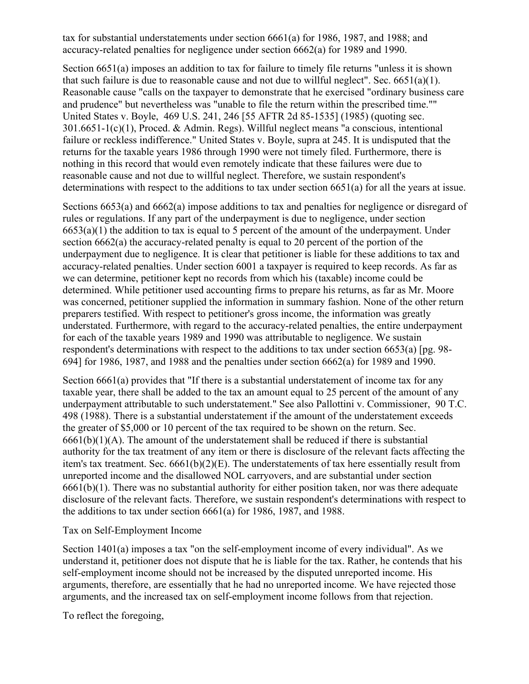tax for substantial understatements under section 6661(a) for 1986, 1987, and 1988; and accuracy-related penalties for negligence under section 6662(a) for 1989 and 1990.

Section 6651(a) imposes an addition to tax for failure to timely file returns "unless it is shown that such failure is due to reasonable cause and not due to willful neglect". Sec.  $6651(a)(1)$ . Reasonable cause "calls on the taxpayer to demonstrate that he exercised "ordinary business care and prudence" but nevertheless was "unable to file the return within the prescribed time."" United States v. Boyle, 469 U.S. 241, 246 [55 AFTR 2d 85-1535] (1985) (quoting sec. 301.6651-1(c)(1), Proced. & Admin. Regs). Willful neglect means "a conscious, intentional failure or reckless indifference." United States v. Boyle, supra at 245. It is undisputed that the returns for the taxable years 1986 through 1990 were not timely filed. Furthermore, there is nothing in this record that would even remotely indicate that these failures were due to reasonable cause and not due to willful neglect. Therefore, we sustain respondent's determinations with respect to the additions to tax under section 6651(a) for all the years at issue.

Sections 6653(a) and 6662(a) impose additions to tax and penalties for negligence or disregard of rules or regulations. If any part of the underpayment is due to negligence, under section  $6653(a)(1)$  the addition to tax is equal to 5 percent of the amount of the underpayment. Under section 6662(a) the accuracy-related penalty is equal to 20 percent of the portion of the underpayment due to negligence. It is clear that petitioner is liable for these additions to tax and accuracy-related penalties. Under section 6001 a taxpayer is required to keep records. As far as we can determine, petitioner kept no records from which his (taxable) income could be determined. While petitioner used accounting firms to prepare his returns, as far as Mr. Moore was concerned, petitioner supplied the information in summary fashion. None of the other return preparers testified. With respect to petitioner's gross income, the information was greatly understated. Furthermore, with regard to the accuracy-related penalties, the entire underpayment for each of the taxable years 1989 and 1990 was attributable to negligence. We sustain respondent's determinations with respect to the additions to tax under section 6653(a) [pg. 98- 694] for 1986, 1987, and 1988 and the penalties under section 6662(a) for 1989 and 1990.

Section 6661(a) provides that "If there is a substantial understatement of income tax for any taxable year, there shall be added to the tax an amount equal to 25 percent of the amount of any underpayment attributable to such understatement." See also Pallottini v. Commissioner, 90 T.C. 498 (1988). There is a substantial understatement if the amount of the understatement exceeds the greater of \$5,000 or 10 percent of the tax required to be shown on the return. Sec.  $6661(b)(1)(A)$ . The amount of the understatement shall be reduced if there is substantial authority for the tax treatment of any item or there is disclosure of the relevant facts affecting the item's tax treatment. Sec.  $6661(b)(2)(E)$ . The understatements of tax here essentially result from unreported income and the disallowed NOL carryovers, and are substantial under section 6661(b)(1). There was no substantial authority for either position taken, nor was there adequate disclosure of the relevant facts. Therefore, we sustain respondent's determinations with respect to the additions to tax under section 6661(a) for 1986, 1987, and 1988.

## Tax on Self-Employment Income

Section 1401(a) imposes a tax "on the self-employment income of every individual". As we understand it, petitioner does not dispute that he is liable for the tax. Rather, he contends that his self-employment income should not be increased by the disputed unreported income. His arguments, therefore, are essentially that he had no unreported income. We have rejected those arguments, and the increased tax on self-employment income follows from that rejection.

To reflect the foregoing,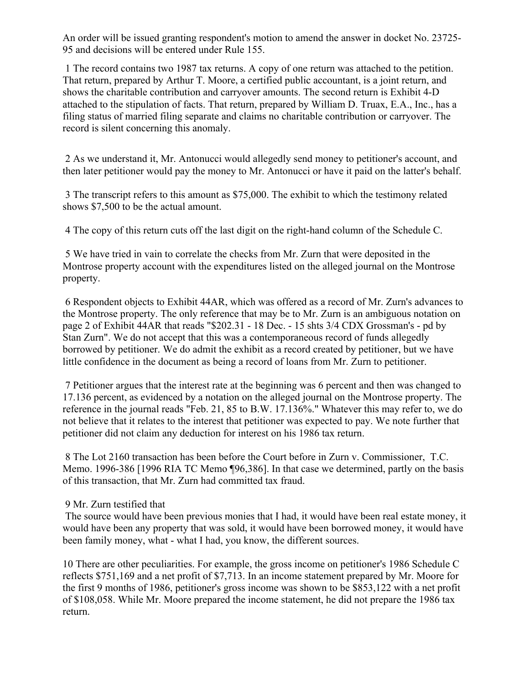An order will be issued granting respondent's motion to amend the answer in docket No. 23725- 95 and decisions will be entered under Rule 155.

1 The record contains two 1987 tax returns. A copy of one return was attached to the petition. That return, prepared by Arthur T. Moore, a certified public accountant, is a joint return, and shows the charitable contribution and carryover amounts. The second return is Exhibit 4-D attached to the stipulation of facts. That return, prepared by William D. Truax, E.A., Inc., has a filing status of married filing separate and claims no charitable contribution or carryover. The record is silent concerning this anomaly.

2 As we understand it, Mr. Antonucci would allegedly send money to petitioner's account, and then later petitioner would pay the money to Mr. Antonucci or have it paid on the latter's behalf.

3 The transcript refers to this amount as \$75,000. The exhibit to which the testimony related shows \$7,500 to be the actual amount.

4 The copy of this return cuts off the last digit on the right-hand column of the Schedule C.

5 We have tried in vain to correlate the checks from Mr. Zurn that were deposited in the Montrose property account with the expenditures listed on the alleged journal on the Montrose property.

6 Respondent objects to Exhibit 44AR, which was offered as a record of Mr. Zurn's advances to the Montrose property. The only reference that may be to Mr. Zurn is an ambiguous notation on page 2 of Exhibit 44AR that reads "\$202.31 - 18 Dec. - 15 shts 3/4 CDX Grossman's - pd by Stan Zurn". We do not accept that this was a contemporaneous record of funds allegedly borrowed by petitioner. We do admit the exhibit as a record created by petitioner, but we have little confidence in the document as being a record of loans from Mr. Zurn to petitioner.

7 Petitioner argues that the interest rate at the beginning was 6 percent and then was changed to 17.136 percent, as evidenced by a notation on the alleged journal on the Montrose property. The reference in the journal reads "Feb. 21, 85 to B.W. 17.136%." Whatever this may refer to, we do not believe that it relates to the interest that petitioner was expected to pay. We note further that petitioner did not claim any deduction for interest on his 1986 tax return.

8 The Lot 2160 transaction has been before the Court before in Zurn v. Commissioner, T.C. Memo. 1996-386 [1996 RIA TC Memo ¶96,386]. In that case we determined, partly on the basis of this transaction, that Mr. Zurn had committed tax fraud.

# 9 Mr. Zurn testified that

The source would have been previous monies that I had, it would have been real estate money, it would have been any property that was sold, it would have been borrowed money, it would have been family money, what - what I had, you know, the different sources.

10 There are other peculiarities. For example, the gross income on petitioner's 1986 Schedule C reflects \$751,169 and a net profit of \$7,713. In an income statement prepared by Mr. Moore for the first 9 months of 1986, petitioner's gross income was shown to be \$853,122 with a net profit of \$108,058. While Mr. Moore prepared the income statement, he did not prepare the 1986 tax return.